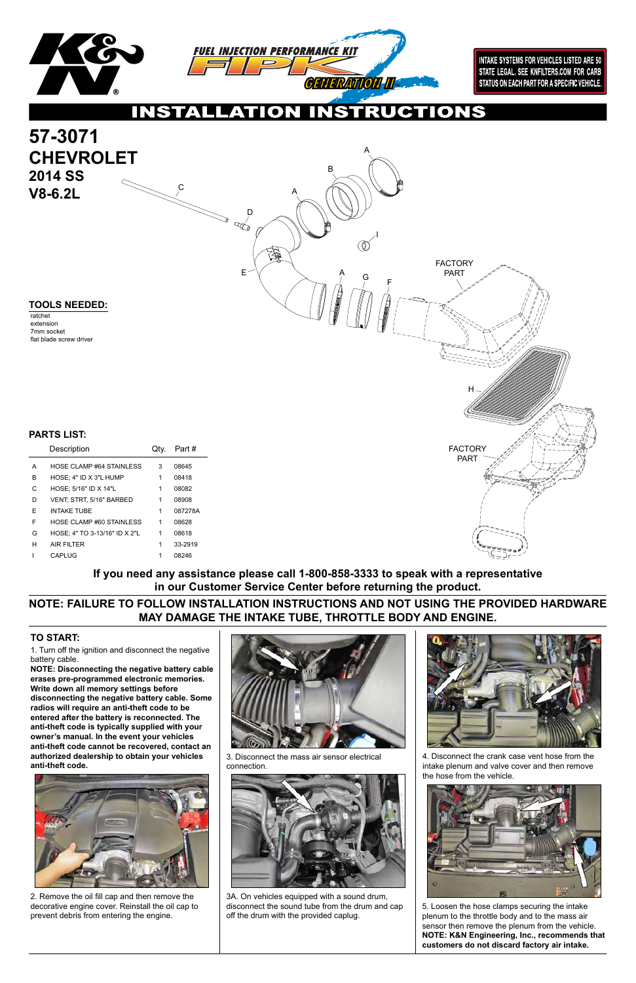1. Turn off the ignition and disconnect the negative battery cable.

**NOTE: Disconnecting the negative battery cable erases pre-programmed electronic memories. Write down all memory settings before disconnecting the negative battery cable. Some radios will require an anti-theft code to be entered after the battery is reconnected. The anti-theft code is typically supplied with your owner's manual. In the event your vehicles anti-theft code cannot be recovered, contact an authorized dealership to obtain your vehicles anti-theft code.**







### **TO START:**



2. Remove the oil fill cap and then remove the decorative engine cover. Reinstall the oil cap to prevent debris from entering the engine.

3. Disconnect the mass air sensor electrical connection.



3A. On vehicles equipped with a sound drum, disconnect the sound tube from the drum and cap off the drum with the provided caplug.

4. Disconnect the crank case vent hose from the intake plenum and valve cover and then remove the hose from the vehicle.



5. Loosen the hose clamps securing the intake plenum to the throttle body and to the mass air sensor then remove the plenum from the vehicle. **NOTE: K&N Engineering, Inc., recommends that customers do not discard factory air intake.**

## **NOTE: FAILURE TO FOLLOW INSTALLATION INSTRUCTIONS AND NOT USING THE PROVIDED HARDWARE MAY DAMAGE THE INTAKE TUBE, THROTTLE BODY AND ENGINE.**

**If you need any assistance please call 1-800-858-3333 to speak with a representative in our Customer Service Center before returning the product.**